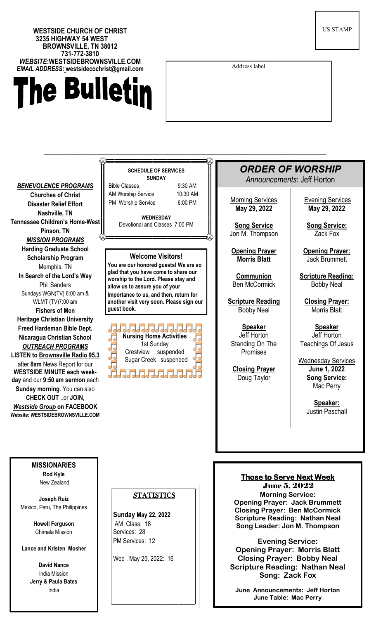## **WESTSIDE CHURCH OF CHRIST 3235 HIGHWAY 54 WEST BROWNSVILLE, TN 38012 731-772-3810**  *WEBSITE***:WESTSIDEBROWNSVILLE.COM** *EMAIL ADDRESS:* **westsidecochrist@gmail.com**

# he Bulletin

US STAMP

Address label

——————————————————————————————————————————————*ORDER OF WORSHIP* **SCHEDULE OF SERVICES SUNDAY** *Announcements*: Jeff Horton *BENEVOLENCE PROGRAMS* Bible Classes 9:30 AM AM Worship Service 10:30 AM **Churches of Christ Morning Services** Evening Services PM Worship Service 6:00 PM **Disaster Relief Effort May 29, 2022 May 29, 2022 Nashville, TN WEDNESDAY Tennessee Children's Home-West** Devotional and Classes 7:00 PM **Song Service Song Service: Pinson, TN** Jon M. Thompson Zack Fox *MISSION PROGRAMS* **Harding Graduate School Opening Prayer Opening Prayer: Welcome Visitors! Scholarship Program Morris Blatt** Jack Brummett **You are our honored guests! We are so**  Memphis, TN **glad that you have come to share our In Search of the Lord's Way Communion Scripture Reading: worship to the Lord. Please stay and**  Ben McCormick Bobby Neal Phil Sanders **allow us to assure you of your**  Sundays WGN(TV) 6:00 am & **Importance to us, and then, return for Closing Prayer:** WLMT (TV)7:00 am **another visit very soon. Please sign our Scripture Reading guest book.** Bobby Neal Morris Blatt **Fishers of Men Heritage Christian University Speaker Speaker Freed Hardeman Bible Dept. Nursing Home Activities** Jeff Horton Jeff Horton **Nicaragua Christian School** Standing On The Teachings Of Jesus 1st Sunday *OUTREACH PROGRAMS*  Crestview suspended Promises **LISTEN to Brownsville Radio 95.3** Sugar Creek suspended Wednesday Services after **8am** News Report for our **Closing Prayer June 1, 2022 WESTSIDE MINUTE each week-**71717171717171 **Song Service:** Doug Taylor **day** and our **9:50 am sermon** each Mac Perry **Sunday morning**. You can also **CHECK OUT** ..or **JOIN**, **Speaker:** *Westside Group* **on FACEBOOK**  Justin Paschall **Website: WESTSIDEBROWNSVILLE.COM MISSIONARIES Rod Kyle Those to Serve Next Week**  New Zealand June 5, 2022 **STATISTICS Morning Service: Joseph Ruiz Opening Prayer: Jack Brummett**  Mexico, Peru, The Philippines **Closing Prayer: Ben McCormick Sunday May 22, 2022 Scripture Reading: Nathan Neal Howell Ferguson** AM Class: 18 **Song Leader: Jon M. Thompson**  Services: 28 Chimala Mission PM Services: 12 **Evening Service: Lance and Kristen Mosher Opening Prayer: Morris Blatt Closing Prayer: Bobby Neal**  Wed . May 25, 2022: 16 **David Nance Scripture Reading: Nathan Neal** India Mission **Song: Zack Fox Jerry & Paula Bates** India

**June Announcements: Jeff Horton June Table: Mac Perry**